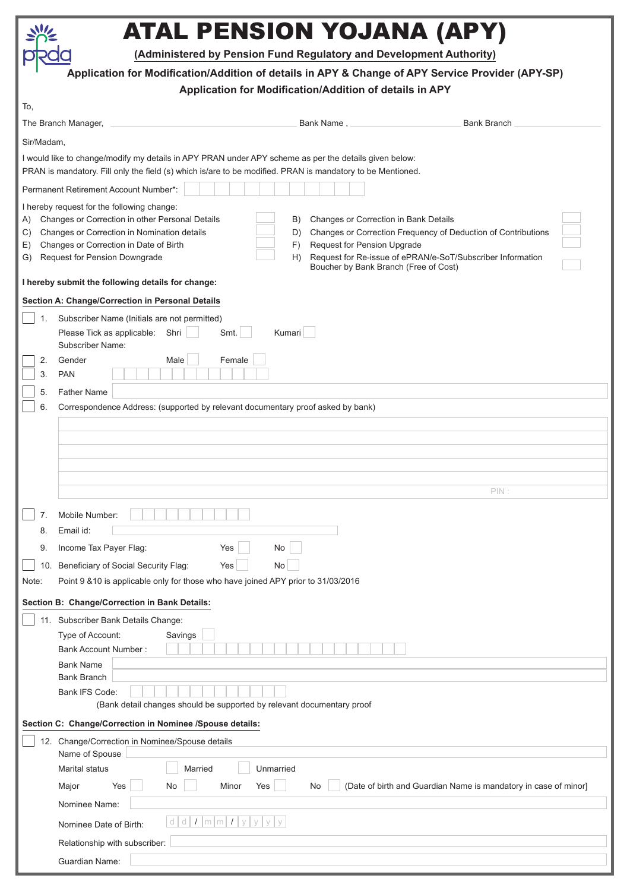|                                                                                                                                                                                                                     | ATAL PENSION YOJANA (APY)                                                                                                                                                                                                                                                                                                                                                                                                                                                                              |  |  |  |  |
|---------------------------------------------------------------------------------------------------------------------------------------------------------------------------------------------------------------------|--------------------------------------------------------------------------------------------------------------------------------------------------------------------------------------------------------------------------------------------------------------------------------------------------------------------------------------------------------------------------------------------------------------------------------------------------------------------------------------------------------|--|--|--|--|
|                                                                                                                                                                                                                     | (Administered by Pension Fund Regulatory and Development Authority)                                                                                                                                                                                                                                                                                                                                                                                                                                    |  |  |  |  |
|                                                                                                                                                                                                                     | Application for Modification/Addition of details in APY & Change of APY Service Provider (APY-SP)<br>Application for Modification/Addition of details in APY                                                                                                                                                                                                                                                                                                                                           |  |  |  |  |
| To,                                                                                                                                                                                                                 |                                                                                                                                                                                                                                                                                                                                                                                                                                                                                                        |  |  |  |  |
|                                                                                                                                                                                                                     | <b>Bank Branch</b><br>The Branch Manager,<br>Bank Name, successional and set of the set of the Bank Name, and the set of the set of the San San S                                                                                                                                                                                                                                                                                                                                                      |  |  |  |  |
| Sir/Madam,                                                                                                                                                                                                          |                                                                                                                                                                                                                                                                                                                                                                                                                                                                                                        |  |  |  |  |
| I would like to change/modify my details in APY PRAN under APY scheme as per the details given below:<br>PRAN is mandatory. Fill only the field (s) which is/are to be modified. PRAN is mandatory to be Mentioned. |                                                                                                                                                                                                                                                                                                                                                                                                                                                                                                        |  |  |  |  |
| Permanent Retirement Account Number*:                                                                                                                                                                               |                                                                                                                                                                                                                                                                                                                                                                                                                                                                                                        |  |  |  |  |
| A)<br>C)<br>E)<br>G)                                                                                                                                                                                                | I hereby request for the following change:<br>Changes or Correction in other Personal Details<br>Changes or Correction in Bank Details<br>B)<br>Changes or Correction in Nomination details<br>Changes or Correction Frequency of Deduction of Contributions<br>D)<br>Changes or Correction in Date of Birth<br>Request for Pension Upgrade<br>F)<br>Request for Re-issue of ePRAN/e-SoT/Subscriber Information<br><b>Request for Pension Downgrade</b><br>H)<br>Boucher by Bank Branch (Free of Cost) |  |  |  |  |
|                                                                                                                                                                                                                     | I hereby submit the following details for change:                                                                                                                                                                                                                                                                                                                                                                                                                                                      |  |  |  |  |
|                                                                                                                                                                                                                     | Section A: Change/Correction in Personal Details                                                                                                                                                                                                                                                                                                                                                                                                                                                       |  |  |  |  |
| 1.<br>2.<br>3.                                                                                                                                                                                                      | Subscriber Name (Initials are not permitted)<br>Kumari<br>Please Tick as applicable:<br>Shri<br>Smt.<br>Subscriber Name:<br>Gender<br>Female<br>Male<br><b>PAN</b>                                                                                                                                                                                                                                                                                                                                     |  |  |  |  |
| 5.                                                                                                                                                                                                                  | <b>Father Name</b>                                                                                                                                                                                                                                                                                                                                                                                                                                                                                     |  |  |  |  |
| 6.                                                                                                                                                                                                                  | Correspondence Address: (supported by relevant documentary proof asked by bank)                                                                                                                                                                                                                                                                                                                                                                                                                        |  |  |  |  |
|                                                                                                                                                                                                                     |                                                                                                                                                                                                                                                                                                                                                                                                                                                                                                        |  |  |  |  |
|                                                                                                                                                                                                                     |                                                                                                                                                                                                                                                                                                                                                                                                                                                                                                        |  |  |  |  |
|                                                                                                                                                                                                                     |                                                                                                                                                                                                                                                                                                                                                                                                                                                                                                        |  |  |  |  |
|                                                                                                                                                                                                                     |                                                                                                                                                                                                                                                                                                                                                                                                                                                                                                        |  |  |  |  |
|                                                                                                                                                                                                                     | PIN                                                                                                                                                                                                                                                                                                                                                                                                                                                                                                    |  |  |  |  |
| 7.<br>8.                                                                                                                                                                                                            | Mobile Number:<br>Email id:                                                                                                                                                                                                                                                                                                                                                                                                                                                                            |  |  |  |  |
| 9.                                                                                                                                                                                                                  | Income Tax Payer Flag:<br>No<br>Yes                                                                                                                                                                                                                                                                                                                                                                                                                                                                    |  |  |  |  |
| 10.                                                                                                                                                                                                                 | Beneficiary of Social Security Flag:<br>No<br>Yes                                                                                                                                                                                                                                                                                                                                                                                                                                                      |  |  |  |  |
| Note:                                                                                                                                                                                                               | Point 9 & 10 is applicable only for those who have joined APY prior to 31/03/2016                                                                                                                                                                                                                                                                                                                                                                                                                      |  |  |  |  |
|                                                                                                                                                                                                                     | Section B: Change/Correction in Bank Details:                                                                                                                                                                                                                                                                                                                                                                                                                                                          |  |  |  |  |
|                                                                                                                                                                                                                     | 11. Subscriber Bank Details Change:                                                                                                                                                                                                                                                                                                                                                                                                                                                                    |  |  |  |  |
|                                                                                                                                                                                                                     | Type of Account:<br>Savings                                                                                                                                                                                                                                                                                                                                                                                                                                                                            |  |  |  |  |
|                                                                                                                                                                                                                     | <b>Bank Account Number:</b><br><b>Bank Name</b>                                                                                                                                                                                                                                                                                                                                                                                                                                                        |  |  |  |  |
|                                                                                                                                                                                                                     | <b>Bank Branch</b>                                                                                                                                                                                                                                                                                                                                                                                                                                                                                     |  |  |  |  |
|                                                                                                                                                                                                                     | Bank IFS Code:                                                                                                                                                                                                                                                                                                                                                                                                                                                                                         |  |  |  |  |
|                                                                                                                                                                                                                     | (Bank detail changes should be supported by relevant documentary proof                                                                                                                                                                                                                                                                                                                                                                                                                                 |  |  |  |  |
| Section C: Change/Correction in Nominee /Spouse details:                                                                                                                                                            |                                                                                                                                                                                                                                                                                                                                                                                                                                                                                                        |  |  |  |  |
|                                                                                                                                                                                                                     | 12. Change/Correction in Nominee/Spouse details<br>Name of Spouse                                                                                                                                                                                                                                                                                                                                                                                                                                      |  |  |  |  |
|                                                                                                                                                                                                                     | <b>Marital status</b><br>Unmarried<br>Married                                                                                                                                                                                                                                                                                                                                                                                                                                                          |  |  |  |  |
|                                                                                                                                                                                                                     | Yes<br>(Date of birth and Guardian Name is mandatory in case of minor]<br>Yes<br>No<br>Minor<br>Major<br>No                                                                                                                                                                                                                                                                                                                                                                                            |  |  |  |  |
|                                                                                                                                                                                                                     | Nominee Name:                                                                                                                                                                                                                                                                                                                                                                                                                                                                                          |  |  |  |  |
|                                                                                                                                                                                                                     | d d I m m I <br>V<br>$\vee$<br>Nominee Date of Birth:                                                                                                                                                                                                                                                                                                                                                                                                                                                  |  |  |  |  |
|                                                                                                                                                                                                                     | Relationship with subscriber:                                                                                                                                                                                                                                                                                                                                                                                                                                                                          |  |  |  |  |
|                                                                                                                                                                                                                     | Guardian Name:                                                                                                                                                                                                                                                                                                                                                                                                                                                                                         |  |  |  |  |
|                                                                                                                                                                                                                     |                                                                                                                                                                                                                                                                                                                                                                                                                                                                                                        |  |  |  |  |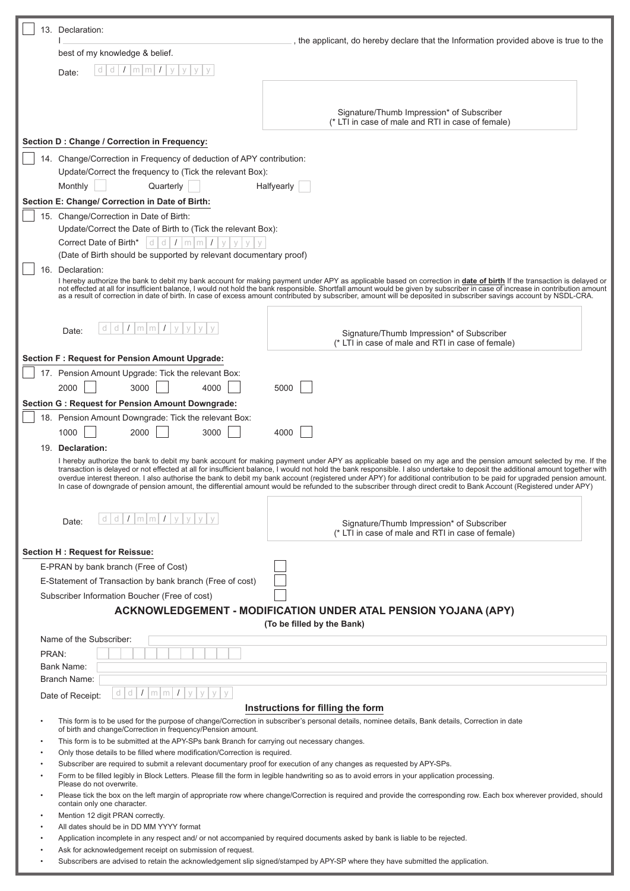| 13. Declaration:                                                                                                                                                                                                                                                                                                                                                                                                                                                                                                                                                                                                                                                                               | the applicant, do hereby declare that the Information provided above is true to the                                                                                                                                                                                                                                                                    |  |  |
|------------------------------------------------------------------------------------------------------------------------------------------------------------------------------------------------------------------------------------------------------------------------------------------------------------------------------------------------------------------------------------------------------------------------------------------------------------------------------------------------------------------------------------------------------------------------------------------------------------------------------------------------------------------------------------------------|--------------------------------------------------------------------------------------------------------------------------------------------------------------------------------------------------------------------------------------------------------------------------------------------------------------------------------------------------------|--|--|
| best of my knowledge & belief.                                                                                                                                                                                                                                                                                                                                                                                                                                                                                                                                                                                                                                                                 |                                                                                                                                                                                                                                                                                                                                                        |  |  |
| ď<br>d<br>$m$ $m$<br>Date:                                                                                                                                                                                                                                                                                                                                                                                                                                                                                                                                                                                                                                                                     |                                                                                                                                                                                                                                                                                                                                                        |  |  |
|                                                                                                                                                                                                                                                                                                                                                                                                                                                                                                                                                                                                                                                                                                |                                                                                                                                                                                                                                                                                                                                                        |  |  |
|                                                                                                                                                                                                                                                                                                                                                                                                                                                                                                                                                                                                                                                                                                |                                                                                                                                                                                                                                                                                                                                                        |  |  |
|                                                                                                                                                                                                                                                                                                                                                                                                                                                                                                                                                                                                                                                                                                | Signature/Thumb Impression* of Subscriber<br>(* LTI in case of male and RTI in case of female)                                                                                                                                                                                                                                                         |  |  |
|                                                                                                                                                                                                                                                                                                                                                                                                                                                                                                                                                                                                                                                                                                |                                                                                                                                                                                                                                                                                                                                                        |  |  |
| Section D : Change / Correction in Frequency:                                                                                                                                                                                                                                                                                                                                                                                                                                                                                                                                                                                                                                                  |                                                                                                                                                                                                                                                                                                                                                        |  |  |
| 14. Change/Correction in Frequency of deduction of APY contribution:                                                                                                                                                                                                                                                                                                                                                                                                                                                                                                                                                                                                                           |                                                                                                                                                                                                                                                                                                                                                        |  |  |
| Update/Correct the frequency to (Tick the relevant Box):                                                                                                                                                                                                                                                                                                                                                                                                                                                                                                                                                                                                                                       |                                                                                                                                                                                                                                                                                                                                                        |  |  |
| Monthly<br>Quarterly                                                                                                                                                                                                                                                                                                                                                                                                                                                                                                                                                                                                                                                                           | Halfyearly                                                                                                                                                                                                                                                                                                                                             |  |  |
| Section E: Change/ Correction in Date of Birth:                                                                                                                                                                                                                                                                                                                                                                                                                                                                                                                                                                                                                                                |                                                                                                                                                                                                                                                                                                                                                        |  |  |
| 15. Change/Correction in Date of Birth:                                                                                                                                                                                                                                                                                                                                                                                                                                                                                                                                                                                                                                                        |                                                                                                                                                                                                                                                                                                                                                        |  |  |
| Update/Correct the Date of Birth to (Tick the relevant Box):<br>Correct Date of Birth*<br>$d d$ / $m$ $m$<br>$\sqrt{ }$                                                                                                                                                                                                                                                                                                                                                                                                                                                                                                                                                                        |                                                                                                                                                                                                                                                                                                                                                        |  |  |
| (Date of Birth should be supported by relevant documentary proof)                                                                                                                                                                                                                                                                                                                                                                                                                                                                                                                                                                                                                              |                                                                                                                                                                                                                                                                                                                                                        |  |  |
| Declaration:<br>16.                                                                                                                                                                                                                                                                                                                                                                                                                                                                                                                                                                                                                                                                            |                                                                                                                                                                                                                                                                                                                                                        |  |  |
|                                                                                                                                                                                                                                                                                                                                                                                                                                                                                                                                                                                                                                                                                                | I hereby authorize the bank to debit my bank account for making payment under APY as applicable based on correction in date of birth If the transaction is delayed or<br>not effected at all for insufficient balance, I would not hold the bank responsible. Shortfall amount would be given by subscriber in case of increase in contribution amount |  |  |
|                                                                                                                                                                                                                                                                                                                                                                                                                                                                                                                                                                                                                                                                                                | as a result of correction in date of birth. In case of excess amount contributed by subscriber, amount will be deposited in subscriber savings account by NSDL-CRA.                                                                                                                                                                                    |  |  |
|                                                                                                                                                                                                                                                                                                                                                                                                                                                                                                                                                                                                                                                                                                |                                                                                                                                                                                                                                                                                                                                                        |  |  |
| d   d   I   m   m  <br>$\prime$<br>$\vee$<br>Date:                                                                                                                                                                                                                                                                                                                                                                                                                                                                                                                                                                                                                                             | Signature/Thumb Impression* of Subscriber                                                                                                                                                                                                                                                                                                              |  |  |
|                                                                                                                                                                                                                                                                                                                                                                                                                                                                                                                                                                                                                                                                                                | (* LTI in case of male and RTI in case of female)                                                                                                                                                                                                                                                                                                      |  |  |
| <b>Section F: Request for Pension Amount Upgrade:</b>                                                                                                                                                                                                                                                                                                                                                                                                                                                                                                                                                                                                                                          |                                                                                                                                                                                                                                                                                                                                                        |  |  |
| 17. Pension Amount Upgrade: Tick the relevant Box:                                                                                                                                                                                                                                                                                                                                                                                                                                                                                                                                                                                                                                             |                                                                                                                                                                                                                                                                                                                                                        |  |  |
| 2000<br>3000<br>4000                                                                                                                                                                                                                                                                                                                                                                                                                                                                                                                                                                                                                                                                           | 5000                                                                                                                                                                                                                                                                                                                                                   |  |  |
| <b>Section G: Request for Pension Amount Downgrade:</b>                                                                                                                                                                                                                                                                                                                                                                                                                                                                                                                                                                                                                                        |                                                                                                                                                                                                                                                                                                                                                        |  |  |
| 18. Pension Amount Downgrade: Tick the relevant Box:                                                                                                                                                                                                                                                                                                                                                                                                                                                                                                                                                                                                                                           |                                                                                                                                                                                                                                                                                                                                                        |  |  |
| 2000<br>3000<br>1000                                                                                                                                                                                                                                                                                                                                                                                                                                                                                                                                                                                                                                                                           | 4000                                                                                                                                                                                                                                                                                                                                                   |  |  |
| 19. Declaration:                                                                                                                                                                                                                                                                                                                                                                                                                                                                                                                                                                                                                                                                               |                                                                                                                                                                                                                                                                                                                                                        |  |  |
| I hereby authorize the bank to debit my bank account for making payment under APY as applicable based on my age and the pension amount selected by me. If the<br>transaction is delayed or not effected at all for insufficient balance, I would not hold the bank responsible. I also undertake to deposit the additional amount together with<br>overdue interest thereon. I also authorise the bank to debit my bank account (registered under APY) for additional contribution to be paid for upgraded pension amount.<br>In case of downgrade of pension amount, the differential amount would be refunded to the subscriber through direct credit to Bank Account (Registered under APY) |                                                                                                                                                                                                                                                                                                                                                        |  |  |
|                                                                                                                                                                                                                                                                                                                                                                                                                                                                                                                                                                                                                                                                                                |                                                                                                                                                                                                                                                                                                                                                        |  |  |
| $d/d$ $I$   m   m   $I$   y  <br>Date:                                                                                                                                                                                                                                                                                                                                                                                                                                                                                                                                                                                                                                                         | Signature/Thumb Impression* of Subscriber                                                                                                                                                                                                                                                                                                              |  |  |
|                                                                                                                                                                                                                                                                                                                                                                                                                                                                                                                                                                                                                                                                                                | (* LTI in case of male and RTI in case of female)                                                                                                                                                                                                                                                                                                      |  |  |
| Section H: Request for Reissue:                                                                                                                                                                                                                                                                                                                                                                                                                                                                                                                                                                                                                                                                |                                                                                                                                                                                                                                                                                                                                                        |  |  |
| E-PRAN by bank branch (Free of Cost)                                                                                                                                                                                                                                                                                                                                                                                                                                                                                                                                                                                                                                                           |                                                                                                                                                                                                                                                                                                                                                        |  |  |
| E-Statement of Transaction by bank branch (Free of cost)                                                                                                                                                                                                                                                                                                                                                                                                                                                                                                                                                                                                                                       |                                                                                                                                                                                                                                                                                                                                                        |  |  |
| Subscriber Information Boucher (Free of cost)                                                                                                                                                                                                                                                                                                                                                                                                                                                                                                                                                                                                                                                  |                                                                                                                                                                                                                                                                                                                                                        |  |  |
|                                                                                                                                                                                                                                                                                                                                                                                                                                                                                                                                                                                                                                                                                                | ACKNOWLEDGEMENT - MODIFICATION UNDER ATAL PENSION YOJANA (APY)                                                                                                                                                                                                                                                                                         |  |  |
|                                                                                                                                                                                                                                                                                                                                                                                                                                                                                                                                                                                                                                                                                                | (To be filled by the Bank)                                                                                                                                                                                                                                                                                                                             |  |  |
| Name of the Subscriber:                                                                                                                                                                                                                                                                                                                                                                                                                                                                                                                                                                                                                                                                        |                                                                                                                                                                                                                                                                                                                                                        |  |  |
| PRAN:                                                                                                                                                                                                                                                                                                                                                                                                                                                                                                                                                                                                                                                                                          |                                                                                                                                                                                                                                                                                                                                                        |  |  |
| Bank Name:                                                                                                                                                                                                                                                                                                                                                                                                                                                                                                                                                                                                                                                                                     |                                                                                                                                                                                                                                                                                                                                                        |  |  |
| Branch Name:                                                                                                                                                                                                                                                                                                                                                                                                                                                                                                                                                                                                                                                                                   |                                                                                                                                                                                                                                                                                                                                                        |  |  |
| $d \mid d \mid I \mid m \mid m \mid I$<br>Date of Receipt:                                                                                                                                                                                                                                                                                                                                                                                                                                                                                                                                                                                                                                     |                                                                                                                                                                                                                                                                                                                                                        |  |  |
|                                                                                                                                                                                                                                                                                                                                                                                                                                                                                                                                                                                                                                                                                                | Instructions for filling the form                                                                                                                                                                                                                                                                                                                      |  |  |
| This form is to be used for the purpose of change/Correction in subscriber's personal details, nominee details, Bank details, Correction in date<br>of birth and change/Correction in frequency/Pension amount.                                                                                                                                                                                                                                                                                                                                                                                                                                                                                |                                                                                                                                                                                                                                                                                                                                                        |  |  |
| This form is to be submitted at the APY-SPs bank Branch for carrying out necessary changes.                                                                                                                                                                                                                                                                                                                                                                                                                                                                                                                                                                                                    |                                                                                                                                                                                                                                                                                                                                                        |  |  |
| Only those details to be filled where modification/Correction is required.<br>Subscriber are required to submit a relevant documentary proof for execution of any changes as requested by APY-SPs.                                                                                                                                                                                                                                                                                                                                                                                                                                                                                             |                                                                                                                                                                                                                                                                                                                                                        |  |  |
| Form to be filled legibly in Block Letters. Please fill the form in legible handwriting so as to avoid errors in your application processing.                                                                                                                                                                                                                                                                                                                                                                                                                                                                                                                                                  |                                                                                                                                                                                                                                                                                                                                                        |  |  |
| Please do not overwrite.<br>Please tick the box on the left margin of appropriate row where change/Correction is required and provide the corresponding row. Each box wherever provided, should                                                                                                                                                                                                                                                                                                                                                                                                                                                                                                |                                                                                                                                                                                                                                                                                                                                                        |  |  |
| contain only one character.                                                                                                                                                                                                                                                                                                                                                                                                                                                                                                                                                                                                                                                                    |                                                                                                                                                                                                                                                                                                                                                        |  |  |
| Mention 12 digit PRAN correctly.<br>All dates should be in DD MM YYYY format                                                                                                                                                                                                                                                                                                                                                                                                                                                                                                                                                                                                                   |                                                                                                                                                                                                                                                                                                                                                        |  |  |
| Application incomplete in any respect and/ or not accompanied by required documents asked by bank is liable to be rejected.                                                                                                                                                                                                                                                                                                                                                                                                                                                                                                                                                                    |                                                                                                                                                                                                                                                                                                                                                        |  |  |
| Ask for acknowledgement receipt on submission of request.                                                                                                                                                                                                                                                                                                                                                                                                                                                                                                                                                                                                                                      |                                                                                                                                                                                                                                                                                                                                                        |  |  |
| Subscribers are advised to retain the acknowledgement slip signed/stamped by APY-SP where they have submitted the application.                                                                                                                                                                                                                                                                                                                                                                                                                                                                                                                                                                 |                                                                                                                                                                                                                                                                                                                                                        |  |  |